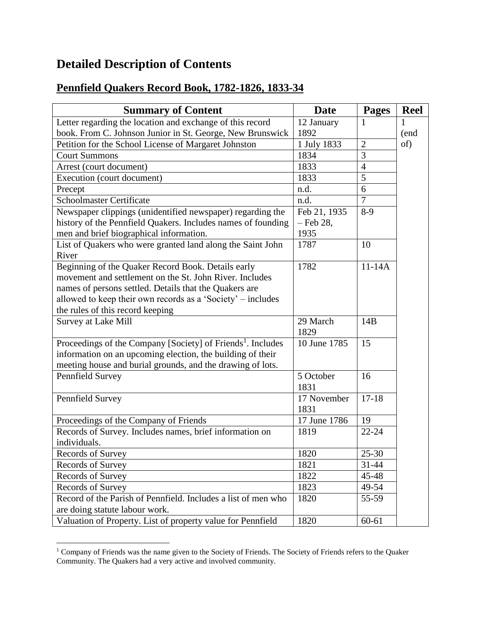## **Detailed Description of Contents**

## **Pennfield Quakers Record Book, 1782-1826, 1833-34**

| <b>Summary of Content</b>                                               | <b>Date</b>      | <b>Pages</b>   | <b>Reel</b> |
|-------------------------------------------------------------------------|------------------|----------------|-------------|
| Letter regarding the location and exchange of this record               | 12 January       | 1              |             |
| book. From C. Johnson Junior in St. George, New Brunswick               | 1892             |                | (end        |
| Petition for the School License of Margaret Johnston                    | 1 July 1833      | $\overline{2}$ | of)         |
| <b>Court Summons</b>                                                    | 1834             | 3              |             |
| Arrest (court document)                                                 | 1833             | $\overline{4}$ |             |
| Execution (court document)                                              | 1833             | 5              |             |
| Precept                                                                 | n.d.             | 6              |             |
| <b>Schoolmaster Certificate</b>                                         | n.d.             | $\tau$         |             |
| Newspaper clippings (unidentified newspaper) regarding the              | Feb 21, 1935     | $8-9$          |             |
| history of the Pennfield Quakers. Includes names of founding            | $-$ Feb 28,      |                |             |
| men and brief biographical information.                                 | 1935             |                |             |
| List of Quakers who were granted land along the Saint John              | 1787             | 10             |             |
| River                                                                   |                  |                |             |
| Beginning of the Quaker Record Book. Details early                      | 1782             | $11-14A$       |             |
| movement and settlement on the St. John River. Includes                 |                  |                |             |
| names of persons settled. Details that the Quakers are                  |                  |                |             |
| allowed to keep their own records as a 'Society' – includes             |                  |                |             |
| the rules of this record keeping                                        |                  |                |             |
| Survey at Lake Mill                                                     | 29 March<br>1829 | 14B            |             |
| Proceedings of the Company [Society] of Friends <sup>1</sup> . Includes | 10 June 1785     | 15             |             |
| information on an upcoming election, the building of their              |                  |                |             |
| meeting house and burial grounds, and the drawing of lots.              |                  |                |             |
| Pennfield Survey                                                        | 5 October        | 16             |             |
|                                                                         | 1831             |                |             |
| Pennfield Survey                                                        | 17 November      | $17 - 18$      |             |
|                                                                         | 1831             |                |             |
| Proceedings of the Company of Friends                                   | 17 June 1786     | 19             |             |
| Records of Survey. Includes names, brief information on                 | 1819             | $22 - 24$      |             |
| individuals.                                                            |                  |                |             |
| Records of Survey                                                       | 1820             | 25-30          |             |
| Records of Survey                                                       | 1821             | 31-44          |             |
| Records of Survey                                                       | 1822             | 45-48          |             |
| Records of Survey                                                       | 1823             | 49-54          |             |
| Record of the Parish of Pennfield. Includes a list of men who           | 1820             | 55-59          |             |
| are doing statute labour work.                                          |                  |                |             |
| Valuation of Property. List of property value for Pennfield             | 1820             | 60-61          |             |

<sup>&</sup>lt;sup>1</sup> Company of Friends was the name given to the Society of Friends. The Society of Friends refers to the Quaker Community. The Quakers had a very active and involved community.

 $\overline{a}$